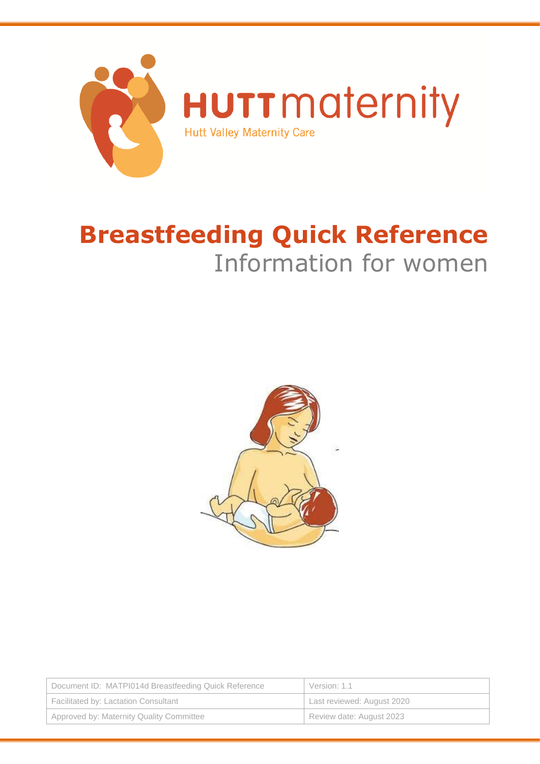

# **Breastfeeding Quick Reference** Information for women



| Document ID: MATPI014d Breastfeeding Quick Reference | Version: 1.1               |  |
|------------------------------------------------------|----------------------------|--|
| Facilitated by: Lactation Consultant                 | Last reviewed: August 2020 |  |
| Approved by: Maternity Quality Committee             | Review date: August 2023   |  |
|                                                      |                            |  |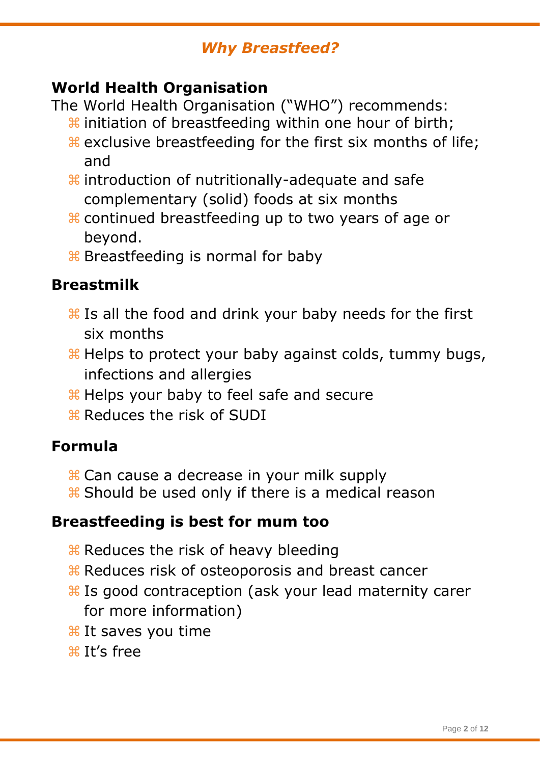#### *Why Breastfeed?*

#### **World Health Organisation**

The World Health Organisation ("WHO") recommends:

- $\frac{1}{2}$  initiation of breastfeeding within one hour of birth;
- exclusive breastfeeding for the first six months of life; and
- $\frac{1}{2}$  introduction of nutritionally-adequate and safe complementary (solid) foods at six months
- continued breastfeeding up to two years of age or beyond.
- **B** Breastfeeding is normal for baby

#### **Breastmilk**

- **Heta** Is all the food and drink your baby needs for the first six months
- **Helps to protect your baby against colds, tummy bugs,** infections and allergies
- Helps your baby to feel safe and secure
- **R** Reduces the risk of SUDI

#### **Formula**

- $\frac{1}{26}$  Can cause a decrease in your milk supply
- **R** Should be used only if there is a medical reason

#### **Breastfeeding is best for mum too**

- **X Reduces the risk of heavy bleeding**
- **R Reduces risk of osteoporosis and breast cancer**
- **Heta** Is good contraception (ask your lead maternity carer for more information)
- **Heta** It saves you time
- $H'$ s free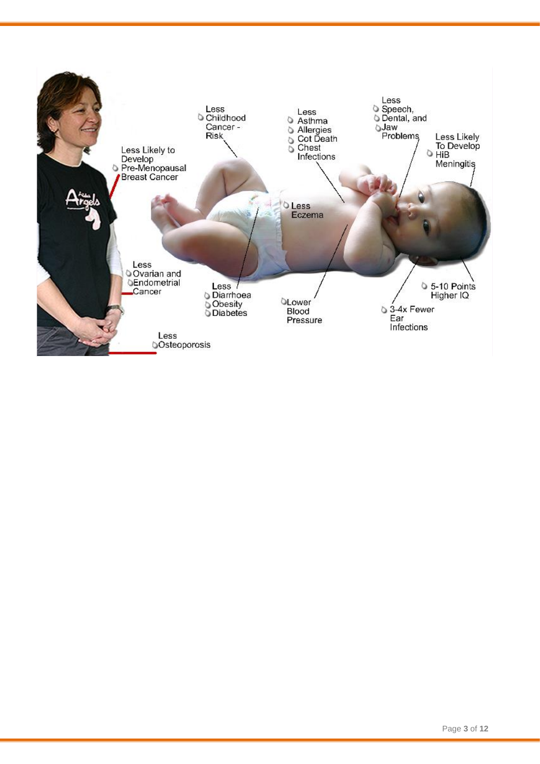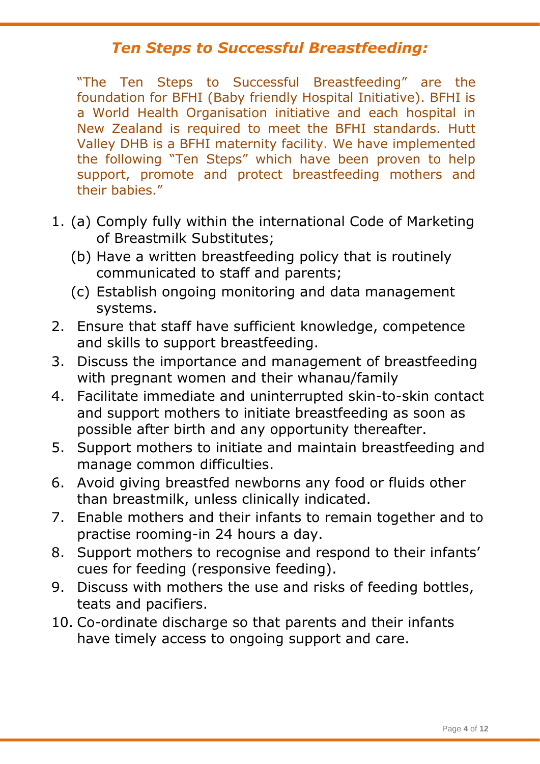#### *Ten Steps to Successful Breastfeeding:*

"The Ten Steps to Successful Breastfeeding" are the foundation for BFHI (Baby friendly Hospital Initiative). BFHI is a World Health Organisation initiative and each hospital in New Zealand is required to meet the BFHI standards. Hutt Valley DHB is a BFHI maternity facility. We have implemented the following "Ten Steps" which have been proven to help support, promote and protect breastfeeding mothers and their babies."

- 1. (a) Comply fully within the international Code of Marketing of Breastmilk Substitutes;
	- (b) Have a written breastfeeding policy that is routinely communicated to staff and parents;
	- (c) Establish ongoing monitoring and data management systems.
- 2. Ensure that staff have sufficient knowledge, competence and skills to support breastfeeding.
- 3. Discuss the importance and management of breastfeeding with pregnant women and their whanau/family
- 4. Facilitate immediate and uninterrupted skin-to-skin contact and support mothers to initiate breastfeeding as soon as possible after birth and any opportunity thereafter.
- 5. Support mothers to initiate and maintain breastfeeding and manage common difficulties.
- 6. Avoid giving breastfed newborns any food or fluids other than breastmilk, unless clinically indicated.
- 7. Enable mothers and their infants to remain together and to practise rooming-in 24 hours a day.
- 8. Support mothers to recognise and respond to their infants' cues for feeding (responsive feeding).
- 9. Discuss with mothers the use and risks of feeding bottles, teats and pacifiers.
- 10. Co-ordinate discharge so that parents and their infants have timely access to ongoing support and care.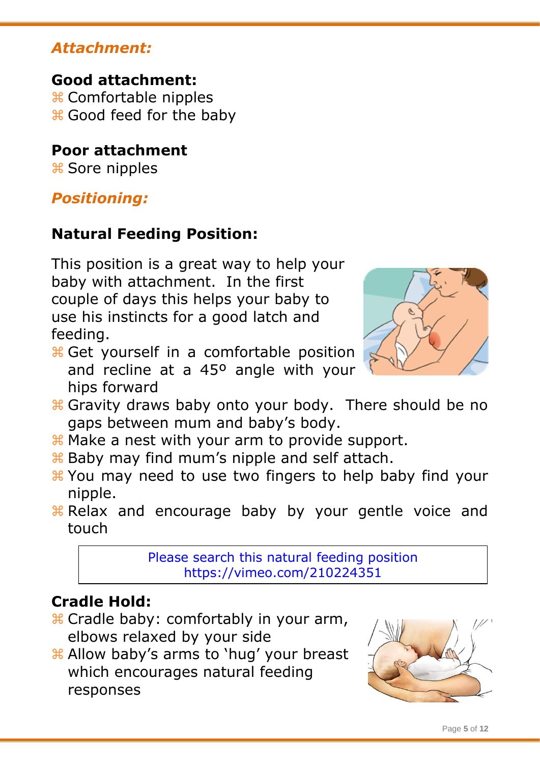#### *Attachment:*

**Good attachment:** Comfortable nipples Good feed for the baby

## **Poor attachment**

# Sore nipples

## *Positioning:*

## **Natural Feeding Position:**

This position is a great way to help your baby with attachment. In the first couple of days this helps your baby to use his instincts for a good latch and feeding.

**H** Get yourself in a comfortable position and recline at a 45º angle with your hips forward



- **& Gravity draws baby onto your body. There should be no** gaps between mum and baby's body.
- **K** Make a nest with your arm to provide support.
- **Baby may find mum's nipple and self attach.**
- You may need to use two fingers to help baby find your nipple.
- **Relax and encourage baby by your gentle voice and** touch

Please search this natural feeding position <https://vimeo.com/210224351>

## **Cradle Hold:**

- Cradle baby: comfortably in your arm, elbows relaxed by your side
- Allow baby's arms to 'hug' your breast which encourages natural feeding responses

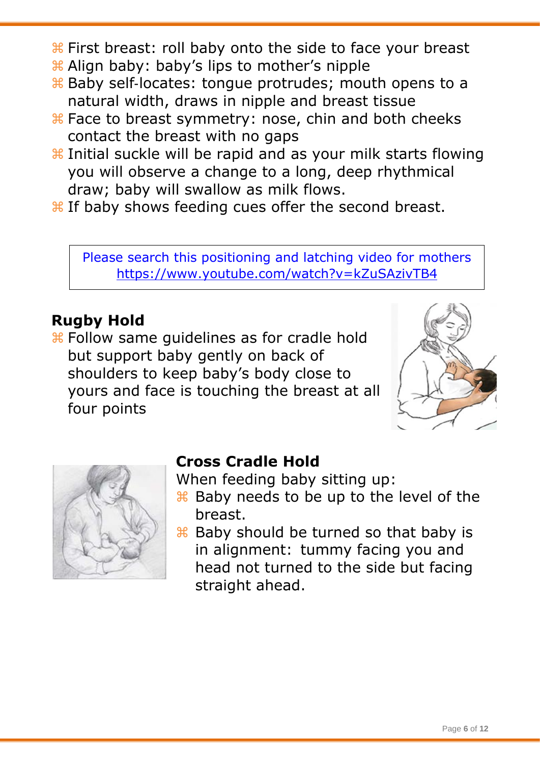- $\frac{1}{10}$  First breast: roll baby onto the side to face your breast
- Align baby: baby's lips to mother's nipple
- $\frac{1}{26}$  Baby self-locates: tongue protrudes; mouth opens to a natural width, draws in nipple and breast tissue
- $\frac{1}{26}$  Face to breast symmetry: nose, chin and both cheeks contact the breast with no gaps
- $\frac{1}{2}$  Initial suckle will be rapid and as your milk starts flowing you will observe a change to a long, deep rhythmical draw; baby will swallow as milk flows.
- $\frac{1}{26}$  If baby shows feeding cues offer the second breast.

Please search this positioning and latching video for mothers <https://www.youtube.com/watch?v=kZuSAzivTB4>

## **Rugby Hold**

 $\frac{1}{2}$  Follow same guidelines as for cradle hold but support baby gently on back of shoulders to keep baby's body close to yours and face is touching the breast at all four points





#### **Cross Cradle Hold**

When feeding baby sitting up:

- Baby needs to be up to the level of the breast.
- **Baby should be turned so that baby is** in alignment: tummy facing you and head not turned to the side but facing straight ahead.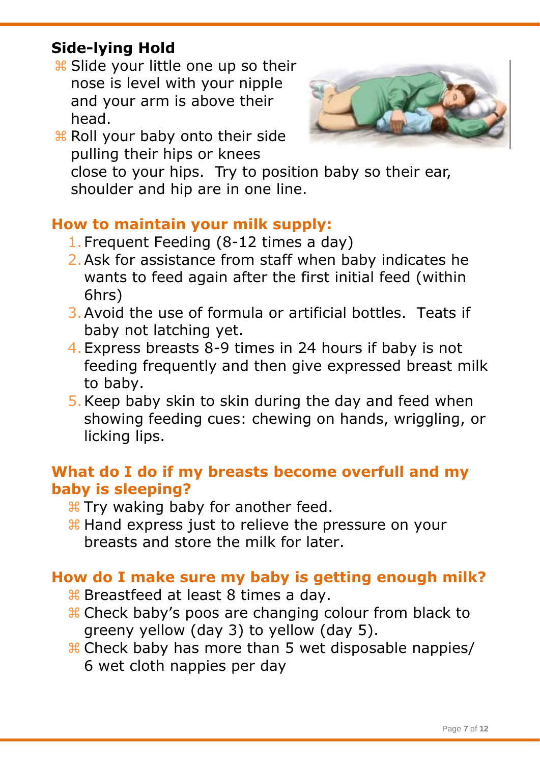## **Side-lying Hold**

**B** Slide your little one up so their nose is level with your nipple and your arm is above their head.



**R** Roll your baby onto their side pulling their hips or knees

close to your hips. Try to position baby so their ear, shoulder and hip are in one line.

## **How to maintain your milk supply:**

- 1.Frequent Feeding (8-12 times a day)
- 2.Ask for assistance from staff when baby indicates he wants to feed again after the first initial feed (within 6hrs)
- 3.Avoid the use of formula or artificial bottles. Teats if baby not latching yet.
- 4.Express breasts 8-9 times in 24 hours if baby is not feeding frequently and then give expressed breast milk to baby.
- 5.Keep baby skin to skin during the day and feed when showing feeding cues: chewing on hands, wriggling, or licking lips.

#### **What do I do if my breasts become overfull and my baby is sleeping?**

- **\# Try waking baby for another feed.**
- **H** Hand express just to relieve the pressure on your breasts and store the milk for later.

## **How do I make sure my baby is getting enough milk?**

- **B** Breastfeed at least 8 times a day.
- Check baby's poos are changing colour from black to greeny yellow (day 3) to yellow (day 5).
- Check baby has more than 5 wet disposable nappies/ 6 wet cloth nappies per day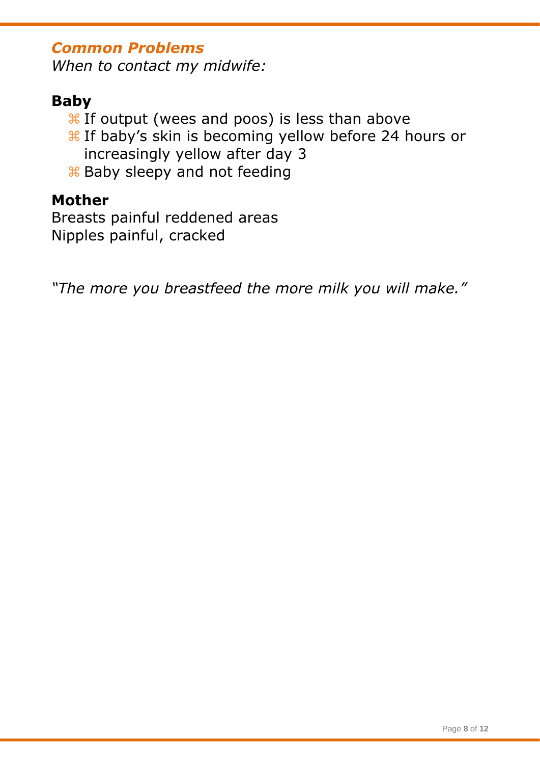#### *Common Problems*

*When to contact my midwife:*

#### **Baby**

- $\frac{1}{26}$  If output (wees and poos) is less than above
- $\frac{1}{26}$  If baby's skin is becoming yellow before 24 hours or increasingly yellow after day 3
- $\frac{1}{26}$  **Baby sleepy and not feeding**

#### **Mother**

Breasts painful reddened areas Nipples painful, cracked

*"The more you breastfeed the more milk you will make."*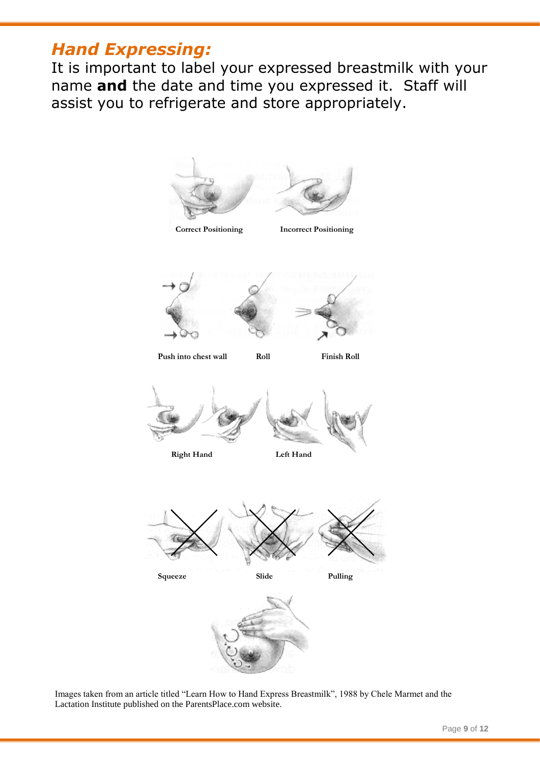## *Hand Expressing:*

It is important to label your expressed breastmilk with your name **and** the date and time you expressed it. Staff will assist you to refrigerate and store appropriately.



Images taken from an article titled "Learn How to Hand Express Breastmilk", 1988 by Chele Marmet and the Lactation Institute published on the ParentsPlace.com website.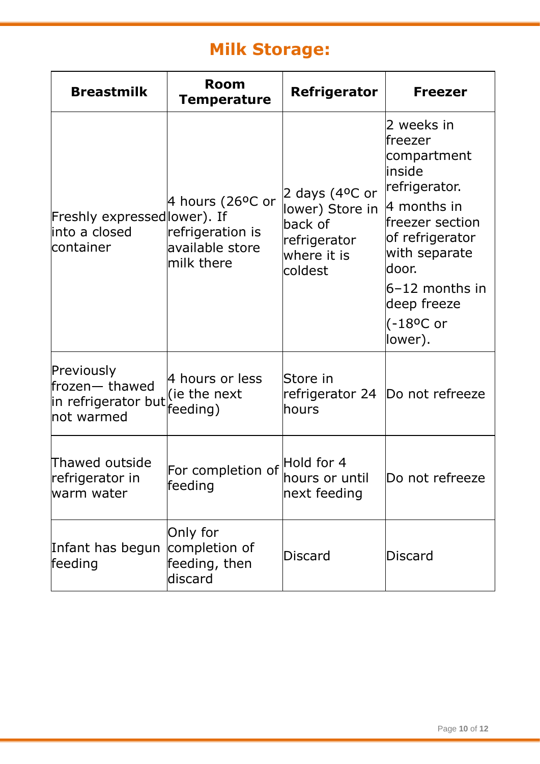## **Milk Storage:**

| <b>Breastmilk</b>                                                 | <b>Room</b><br>Temperature                                            | <b>Refrigerator</b>                                                                              | <b>Freezer</b>                                                                                                                                                                                                                 |
|-------------------------------------------------------------------|-----------------------------------------------------------------------|--------------------------------------------------------------------------------------------------|--------------------------------------------------------------------------------------------------------------------------------------------------------------------------------------------------------------------------------|
| Freshly expressed lower). If<br>into a closed<br>container        | 4 hours (26°C or<br>refrigeration is<br>available store<br>milk there | 2 days $(4^{\circ}$ C or<br>lower) Store in<br>back of<br>refrigerator<br>where it is<br>coldest | 2 weeks in<br>lfreezer<br>compartment<br>linside<br>refrigerator.<br>$ 4$ months in<br>freezer section<br>of refrigerator<br>with separate<br>ldoor.<br>$6-12$ months in<br>deep freeze<br>$(-18$ <sup>o</sup> C or<br>lower). |
| Previously<br>frozen-thawed<br>in refrigerator but<br>Inot warmed | 4 hours or less<br>(ie the next<br>feeding)                           | Store in<br>lhours                                                                               | refrigerator 24  Do not refreeze                                                                                                                                                                                               |
| Thawed outside<br>refrigerator in<br>warm water                   | For completion of Hold for 4<br>feeding                               | hours or until<br>next feeding                                                                   | Do not refreeze                                                                                                                                                                                                                |
| Infant has begun<br>feeding                                       | Only for<br>completion of<br>feeding, then<br>discard                 | Discard                                                                                          | <b>Discard</b>                                                                                                                                                                                                                 |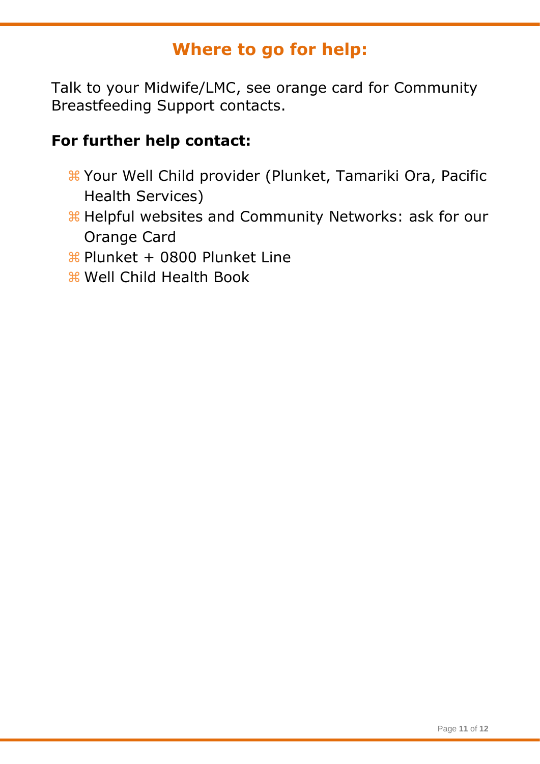## **Where to go for help:**

Talk to your Midwife/LMC, see orange card for Community Breastfeeding Support contacts.

#### **For further help contact:**

- Your Well Child provider (Plunket, Tamariki Ora, Pacific Health Services)
- Helpful websites and Community Networks: ask for our Orange Card
- Plunket + 0800 Plunket Line
- Well Child Health Book